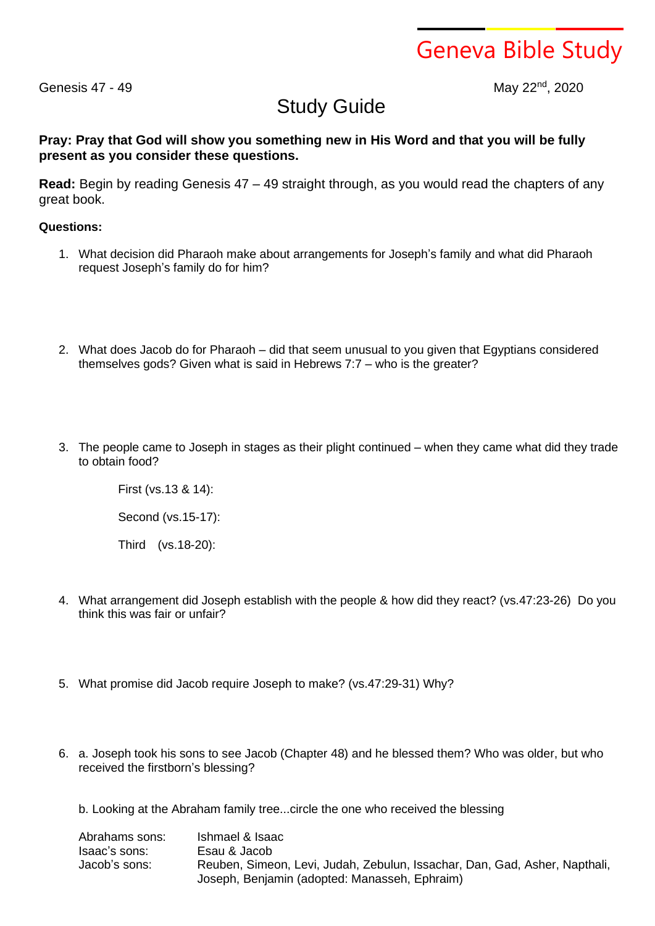Geneva Bible Study

Genesis 47 - 49

May 22<sup>nd</sup>, 2020

## Study Guide

## **Pray: Pray that God will show you something new in His Word and that you will be fully present as you consider these questions.**

**Read:** Begin by reading Genesis 47 – 49 straight through, as you would read the chapters of any great book.

## **Questions:**

- 1. What decision did Pharaoh make about arrangements for Joseph's family and what did Pharaoh request Joseph's family do for him?
- 2. What does Jacob do for Pharaoh did that seem unusual to you given that Egyptians considered themselves gods? Given what is said in Hebrews 7:7 – who is the greater?
- 3. The people came to Joseph in stages as their plight continued when they came what did they trade to obtain food?

First (vs.13 & 14): Second (vs.15-17): Third (vs.18-20):

- 4. What arrangement did Joseph establish with the people & how did they react? (vs.47:23-26) Do you think this was fair or unfair?
- 5. What promise did Jacob require Joseph to make? (vs.47:29-31) Why?
- 6. a. Joseph took his sons to see Jacob (Chapter 48) and he blessed them? Who was older, but who received the firstborn's blessing?

b. Looking at the Abraham family tree...circle the one who received the blessing

| Abrahams sons: | Ishmael & Isaac                                                            |  |
|----------------|----------------------------------------------------------------------------|--|
| Isaac's sons:  | Esau & Jacob                                                               |  |
| Jacob's sons:  | Reuben, Simeon, Levi, Judah, Zebulun, Issachar, Dan, Gad, Asher, Napthali, |  |
|                | Joseph, Benjamin (adopted: Manasseh, Ephraim)                              |  |